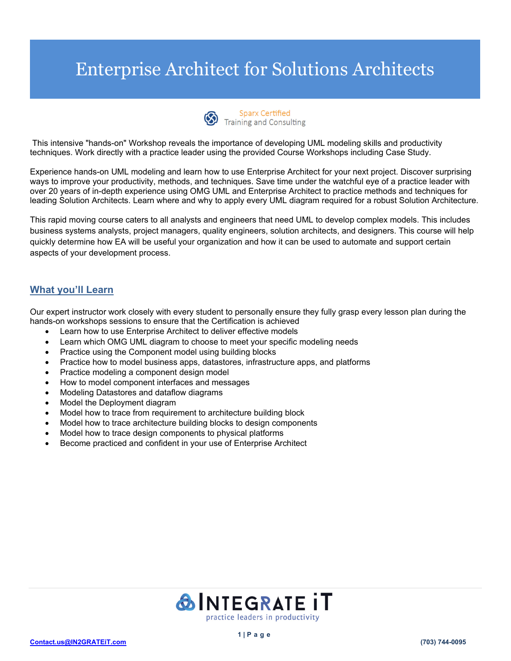

This intensive "hands-on" Workshop reveals the importance of developing UML modeling skills and productivity techniques. Work directly with a practice leader using the provided Course Workshops including Case Study.

Experience hands-on UML modeling and learn how to use Enterprise Architect for your next project. Discover surprising ways to improve your productivity, methods, and techniques. Save time under the watchful eye of a practice leader with over 20 years of in-depth experience using OMG UML and Enterprise Architect to practice methods and techniques for leading Solution Architects. Learn where and why to apply every UML diagram required for a robust Solution Architecture.

This rapid moving course caters to all analysts and engineers that need UML to develop complex models. This includes business systems analysts, project managers, quality engineers, solution architects, and designers. This course will help quickly determine how EA will be useful your organization and how it can be used to automate and support certain aspects of your development process.

## **What you'll Learn**

Our expert instructor work closely with every student to personally ensure they fully grasp every lesson plan during the hands-on workshops sessions to ensure that the Certification is achieved

- Learn how to use Enterprise Architect to deliver effective models
- Learn which OMG UML diagram to choose to meet your specific modeling needs
- Practice using the Component model using building blocks
- Practice how to model business apps, datastores, infrastructure apps, and platforms
- Practice modeling a component design model
- How to model component interfaces and messages
- Modeling Datastores and dataflow diagrams
- Model the Deployment diagram
- Model how to trace from requirement to architecture building block
- Model how to trace architecture building blocks to design components
- Model how to trace design components to physical platforms
- Become practiced and confident in your use of Enterprise Architect

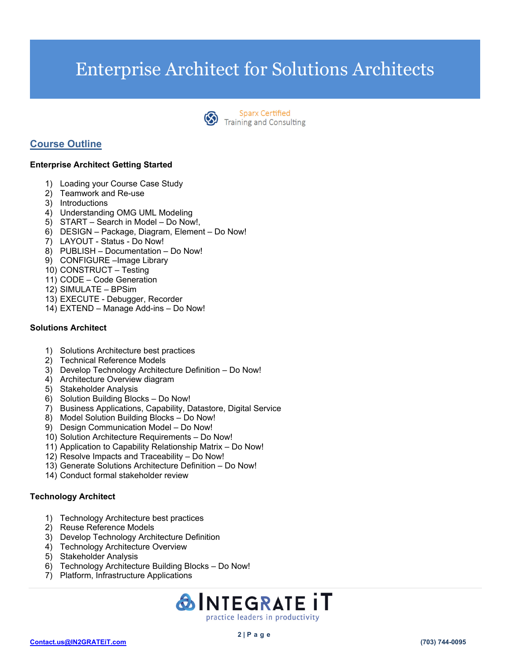

**Sparx Certified** Sparx Certified<br>Training and Consulting

## **Course Outline**

## **Enterprise Architect Getting Started**

- 1) Loading your Course Case Study
- 2) Teamwork and Re-use
- 3) Introductions
- 4) Understanding OMG UML Modeling
- 5) START Search in Model Do Now!,
- 6) DESIGN Package, Diagram, Element Do Now!
- 7) LAYOUT Status Do Now!
- 8) PUBLISH Documentation Do Now!
- 9) CONFIGURE –Image Library
- 10) CONSTRUCT Testing
- 11) CODE Code Generation
- 12) SIMULATE BPSim
- 13) EXECUTE Debugger, Recorder
- 14) EXTEND Manage Add-ins Do Now!

### **Solutions Architect**

- 1) Solutions Architecture best practices
- 2) Technical Reference Models
- 3) Develop Technology Architecture Definition Do Now!
- 4) Architecture Overview diagram
- 5) Stakeholder Analysis
- 6) Solution Building Blocks Do Now!
- 7) Business Applications, Capability, Datastore, Digital Service
- 8) Model Solution Building Blocks Do Now!
- 9) Design Communication Model Do Now!
- 10) Solution Architecture Requirements Do Now!
- 11) Application to Capability Relationship Matrix Do Now!
- 12) Resolve Impacts and Traceability Do Now!
- 13) Generate Solutions Architecture Definition Do Now!
- 14) Conduct formal stakeholder review

### **Technology Architect**

- 1) Technology Architecture best practices
- 2) Reuse Reference Models
- 3) Develop Technology Architecture Definition
- 4) Technology Architecture Overview
- 5) Stakeholder Analysis
- 6) Technology Architecture Building Blocks Do Now!
- 7) Platform, Infrastructure Applications

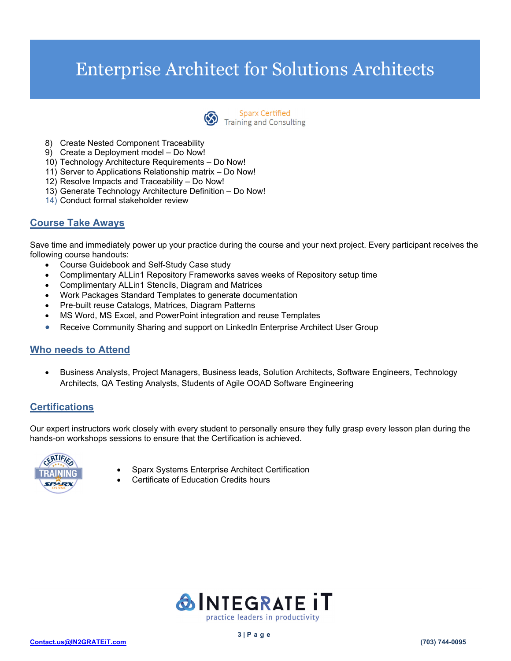

- 8) Create Nested Component Traceability
- 9) Create a Deployment model Do Now!
- 10) Technology Architecture Requirements Do Now!
- 11) Server to Applications Relationship matrix Do Now!
- 12) Resolve Impacts and Traceability Do Now!
- 13) Generate Technology Architecture Definition Do Now!
- 14) Conduct formal stakeholder review

## **Course Take Aways**

Save time and immediately power up your practice during the course and your next project. Every participant receives the following course handouts:

- Course Guidebook and Self-Study Case study
- Complimentary ALLin1 Repository Frameworks saves weeks of Repository setup time
- Complimentary ALLin1 Stencils, Diagram and Matrices
- Work Packages Standard Templates to generate documentation
- Pre-built reuse Catalogs, Matrices, Diagram Patterns
- MS Word, MS Excel, and PowerPoint integration and reuse Templates
- Receive Community Sharing and support on LinkedIn Enterprise Architect User Group

## **Who needs to Attend**

 Business Analysts, Project Managers, Business leads, Solution Architects, Software Engineers, Technology Architects, QA Testing Analysts, Students of Agile OOAD Software Engineering

## **Certifications**

Our expert instructors work closely with every student to personally ensure they fully grasp every lesson plan during the hands-on workshops sessions to ensure that the Certification is achieved.



- Sparx Systems Enterprise Architect Certification
	- Certificate of Education Credits hours

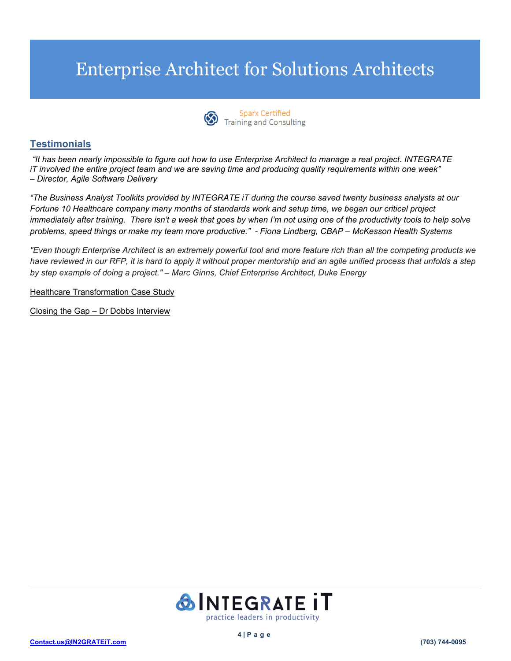

Sparx Certified<br>Training and Consulting

## **Testimonials**

 *"It has been nearly impossible to figure out how to use Enterprise Architect to manage a real project. INTEGRATE iT involved the entire project team and we are saving time and producing quality requirements within one week" – Director, Agile Software Delivery* 

*"The Business Analyst Toolkits provided by INTEGRATE iT during the course saved twenty business analysts at our Fortune 10 Healthcare company many months of standards work and setup time, we began our critical project immediately after training. There isn't a week that goes by when I'm not using one of the productivity tools to help solve problems, speed things or make my team more productive." - Fiona Lindberg, CBAP – McKesson Health Systems* 

*"Even though Enterprise Architect is an extremely powerful tool and more feature rich than all the competing products we have reviewed in our RFP, it is hard to apply it without proper mentorship and an agile unified process that unfolds a step by step example of doing a project." – Marc Ginns, Chief Enterprise Architect, Duke Energy* 

Healthcare Transformation Case Study

Closing the Gap – Dr Dobbs Interview

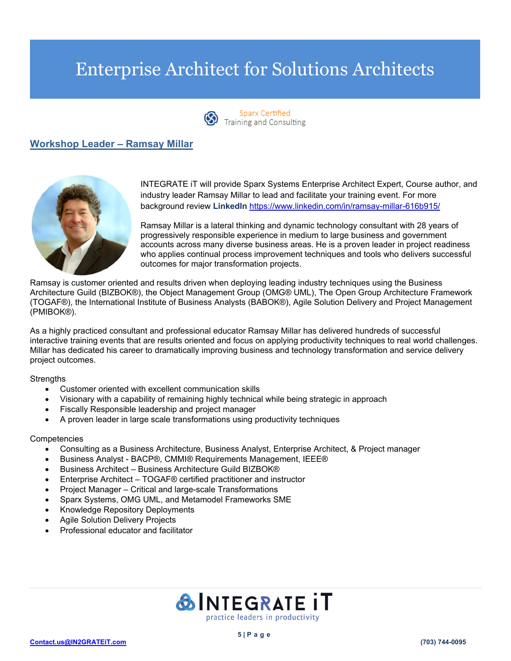

**Sparx Certified** Sparx Certified<br>Training and Consulting

## **Workshop Leader – Ramsay Millar**



INTEGRATE iT will provide Sparx Systems Enterprise Architect Expert, Course author, and industry leader Ramsay Millar to lead and facilitate your training event. For more background review **LinkedIn** https://www.linkedin.com/in/ramsay-millar-616b915/

Ramsay Millar is a lateral thinking and dynamic technology consultant with 28 years of progressively responsible experience in medium to large business and government accounts across many diverse business areas. He is a proven leader in project readiness who applies continual process improvement techniques and tools who delivers successful outcomes for major transformation projects.

Ramsay is customer oriented and results driven when deploying leading industry techniques using the Business Architecture Guild (BIZBOK®), the Object Management Group (OMG® UML), The Open Group Architecture Framework (TOGAF®), the International Institute of Business Analysts (BABOK®), Agile Solution Delivery and Project Management (PMIBOK®).

As a highly practiced consultant and professional educator Ramsay Millar has delivered hundreds of successful interactive training events that are results oriented and focus on applying productivity techniques to real world challenges. Millar has dedicated his career to dramatically improving business and technology transformation and service delivery project outcomes.

### **Strengths**

- Customer oriented with excellent communication skills
- Visionary with a capability of remaining highly technical while being strategic in approach
- Fiscally Responsible leadership and project manager
- A proven leader in large scale transformations using productivity techniques

### **Competencies**

- Consulting as a Business Architecture, Business Analyst, Enterprise Architect, & Project manager
- Business Analyst BACP®, CMMI® Requirements Management, IEEE®
- Business Architect Business Architecture Guild BIZBOK®
- Enterprise Architect TOGAF® certified practitioner and instructor
- Project Manager Critical and large-scale Transformations
- Sparx Systems, OMG UML, and Metamodel Frameworks SME
- Knowledge Repository Deployments
- Agile Solution Delivery Projects
- Professional educator and facilitator